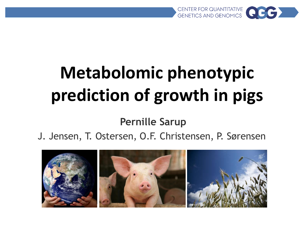

# **Metabolomic phenotypic prediction of growth in pigs**

#### **Pernille Sarup**

J. Jensen, T. Ostersen, O.F. Christensen, P. Sørensen

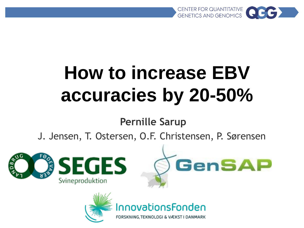

# **How to increase EBV accuracies by 20-50%**

#### **Pernille Sarup**

J. Jensen, T. Ostersen, O.F. Christensen, P. Sørensen





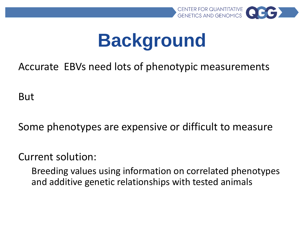

# **Background**

#### Accurate EBVs need lots of phenotypic measurements

But

Some phenotypes are expensive or difficult to measure

Current solution:

Breeding values using information on correlated phenotypes and additive genetic relationships with tested animals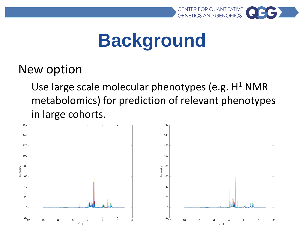

# **Background**

New option

Use large scale molecular phenotypes (e.g.  $H^1$  NMR metabolomics) for prediction of relevant phenotypes in large cohorts.

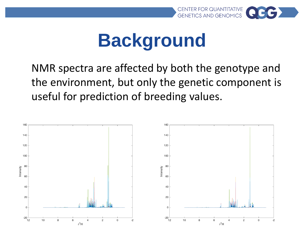

## **Background**

NMR spectra are affected by both the genotype and the environment, but only the genetic component is useful for prediction of breeding values.

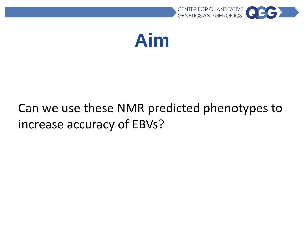



#### Can we use these NMR predicted phenotypes to increase accuracy of EBVs?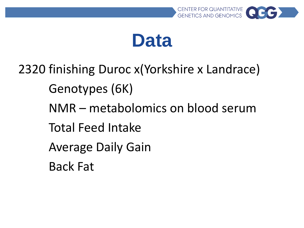



2320 finishing Duroc x(Yorkshire x Landrace) Genotypes (6K) NMR – metabolomics on blood serum Total Feed Intake Average Daily Gain Back Fat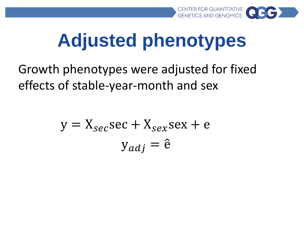

# **Adjusted phenotypes**

Growth phenotypes were adjusted for fixed effects of stable-year-month and sex

$$
y = X_{\text{sec}} \sec + X_{\text{sec}} \sec + e
$$

$$
y_{\text{adj}} = \hat{e}
$$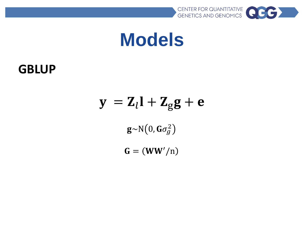

### **Models**

**GBLUP**

$$
y = Z_l l + Z_g g + e
$$

 $\mathbf{g}{\sim}\text{N}\big(0,\mathbf{G}\sigma_{\!g}^2$ 

 $G = (WW'/n)$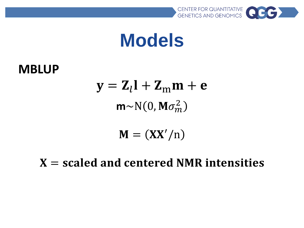

### **Models**

**MBLUP**

 $y = Z_l l + Z_m m + e$  $\mathsf{m}\text{-}\mathrm{N}(0,\mathsf{M}\sigma_m^2)$ 

 $M = (XX'/n)$ 

 $X = scaled$  and centered NMR intensities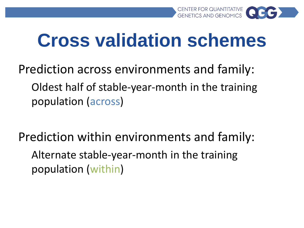

## **Cross validation schemes**

Prediction across environments and family: Oldest half of stable-year-month in the training population (across)

Prediction within environments and family: Alternate stable-year-month in the training population (within)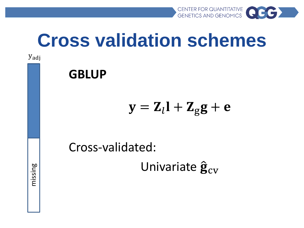

## **Cross validation schemes**

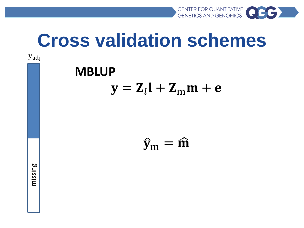

## **Cross validation schemes**

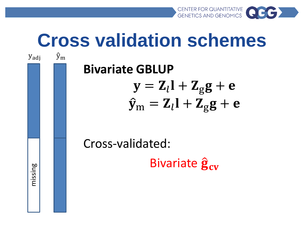CENTER FOR QUANTITATIVE<br>GENETICS AND GENOMICS

## **Cross validation schemes**

yadj

 $\hat{y}_{m}$ 

missing



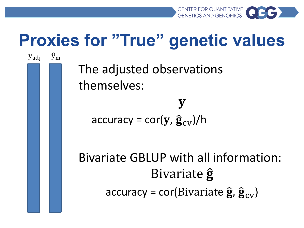## **Proxies for "True" genetic values**

The adjusted observations themselves:

 $y_{\text{adj}}$   $\hat{y}_{\text{m}}$ 

V accuracy = cor( $y$ ,  $\hat{\mathbf{g}}_{cv}$ )/h

#### Bivariate GBLUP with all information: Bivariate  $\hat{\mathbf{g}}$ accuracy = cor(Bivariate  $\hat{\mathbf{g}}, \hat{\mathbf{g}}_{cv}$ )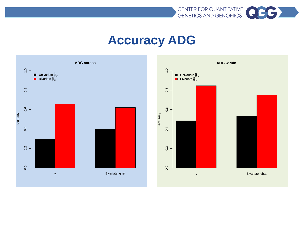

#### **Accuracy ADG**



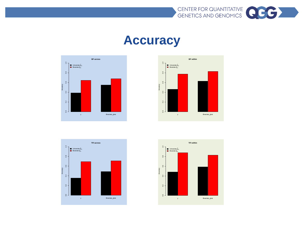

#### **Accuracy**







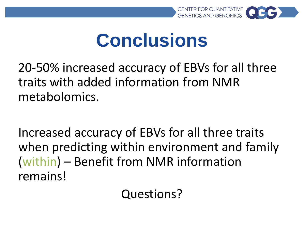

## **Conclusions**

20-50% increased accuracy of EBVs for all three traits with added information from NMR metabolomics.

Increased accuracy of EBVs for all three traits when predicting within environment and family (within) – Benefit from NMR information remains!

Questions?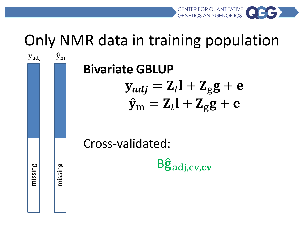

#### Only NMR data in training population

| ر -     |  |         |
|---------|--|---------|
|         |  |         |
| missing |  | missing |

yadj

 $\hat{y}_{m}$ 

#### **Bivariate GBLUP**  $y_{adj} = Z_l l + Z_g g + e$  $\mathbf{\hat{y}}_{\rm m} = \mathbf{Z}_l \mathbf{l} + \mathbf{Z}_{\rm g} \mathbf{g} + \mathbf{e}$

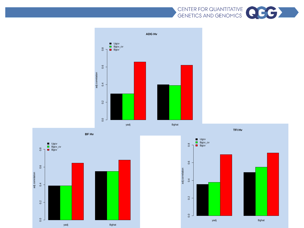#### **ADG Hv** Ugcv Bgcv\_cv Bgcv  $\overline{6}$ .0 0.0 0.2 0.4 0.6 0.8 $0.6$ adj correlation  $0.4$  $0.2$  $rac{1}{\circ}$ yadj Bghat Bahat and Bghat Bghat Bghat and Bghat and Bghat and Bghat and Bghat and Bghat and Bghat and Bghat and Bghat and Bghat and Bghat and Bghat and Bghat and Bghat and Bghat and Bghat and Bghat and Bghat and Bghat and







**TFI Hv**

CENTER FOR QUANTITATIVE<br>GENETICS AND GENOMICS